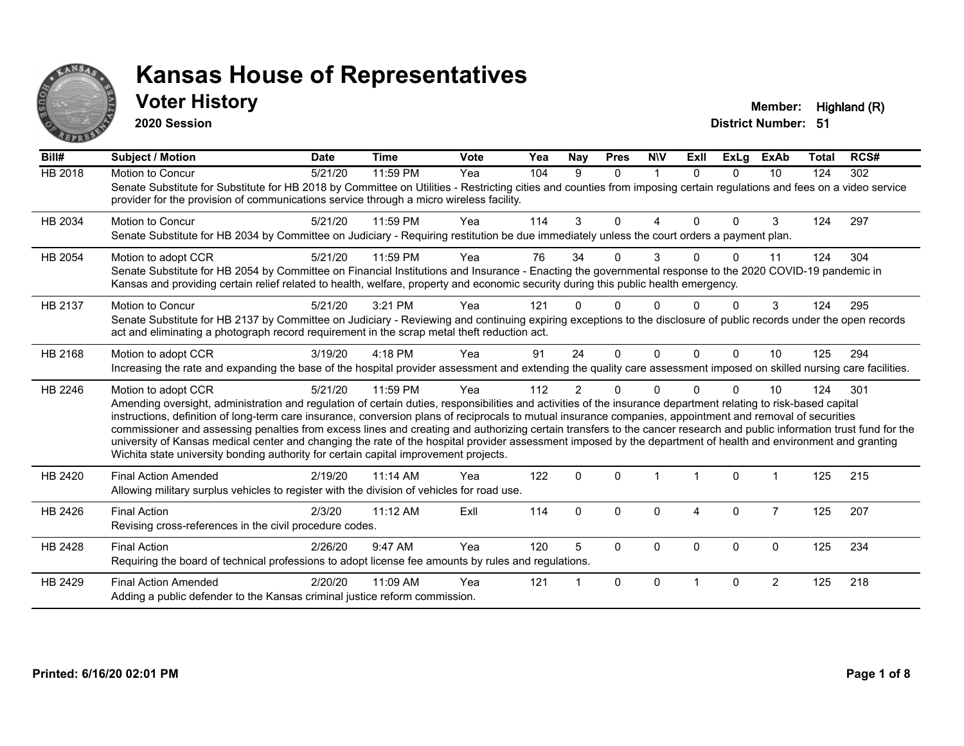

#### **Voter History Member:** Highland (R)

**2020 Session**

| Bill#          | <b>Subject / Motion</b>                                                                                                                                                                                                                                                                                                                                                                                                                                                                                                                                                                                                                                                                                                                                                                  | <b>Date</b> | <b>Time</b> | <b>Vote</b> | Yea | Nay            | <b>Pres</b> | <b>NIV</b>  | ExII     | <b>ExLg</b> | <b>ExAb</b>    | <b>Total</b> | RCS# |
|----------------|------------------------------------------------------------------------------------------------------------------------------------------------------------------------------------------------------------------------------------------------------------------------------------------------------------------------------------------------------------------------------------------------------------------------------------------------------------------------------------------------------------------------------------------------------------------------------------------------------------------------------------------------------------------------------------------------------------------------------------------------------------------------------------------|-------------|-------------|-------------|-----|----------------|-------------|-------------|----------|-------------|----------------|--------------|------|
| <b>HB 2018</b> | Motion to Concur<br>Senate Substitute for Substitute for HB 2018 by Committee on Utilities - Restricting cities and counties from imposing certain regulations and fees on a video service<br>provider for the provision of communications service through a micro wireless facility.                                                                                                                                                                                                                                                                                                                                                                                                                                                                                                    | 5/21/20     | 11:59 PM    | Yea         | 104 | 9              | $\Omega$    | 1           | $\Omega$ | $\Omega$    | 10             | 124          | 302  |
| HB 2034        | Motion to Concur<br>Senate Substitute for HB 2034 by Committee on Judiciary - Requiring restitution be due immediately unless the court orders a payment plan.                                                                                                                                                                                                                                                                                                                                                                                                                                                                                                                                                                                                                           | 5/21/20     | 11:59 PM    | Yea         | 114 | 3              | $\Omega$    | 4           | $\Omega$ | $\Omega$    | 3              | 124          | 297  |
| HB 2054        | Motion to adopt CCR<br>Senate Substitute for HB 2054 by Committee on Financial Institutions and Insurance - Enacting the governmental response to the 2020 COVID-19 pandemic in<br>Kansas and providing certain relief related to health, welfare, property and economic security during this public health emergency.                                                                                                                                                                                                                                                                                                                                                                                                                                                                   | 5/21/20     | 11:59 PM    | Yea         | 76  | 34             | U           | 3           |          | 0           | 11             | 124          | 304  |
| HB 2137        | Motion to Concur<br>Senate Substitute for HB 2137 by Committee on Judiciary - Reviewing and continuing expiring exceptions to the disclosure of public records under the open records<br>act and eliminating a photograph record requirement in the scrap metal theft reduction act.                                                                                                                                                                                                                                                                                                                                                                                                                                                                                                     | 5/21/20     | 3:21 PM     | Yea         | 121 |                | U           | 0           |          | $\Omega$    | 3              | 124          | 295  |
| HB 2168        | Motion to adopt CCR<br>Increasing the rate and expanding the base of the hospital provider assessment and extending the quality care assessment imposed on skilled nursing care facilities.                                                                                                                                                                                                                                                                                                                                                                                                                                                                                                                                                                                              | 3/19/20     | 4:18 PM     | Yea         | 91  | 24             | $\Omega$    | $\mathbf 0$ | $\Omega$ | $\Omega$    | 10             | 125          | 294  |
| HB 2246        | Motion to adopt CCR<br>Amending oversight, administration and regulation of certain duties, responsibilities and activities of the insurance department relating to risk-based capital<br>instructions, definition of long-term care insurance, conversion plans of reciprocals to mutual insurance companies, appointment and removal of securities<br>commissioner and assessing penalties from excess lines and creating and authorizing certain transfers to the cancer research and public information trust fund for the<br>university of Kansas medical center and changing the rate of the hospital provider assessment imposed by the department of health and environment and granting<br>Wichita state university bonding authority for certain capital improvement projects. | 5/21/20     | 11:59 PM    | Yea         | 112 | $\overline{2}$ | U           | $\Omega$    |          | $\Omega$    | 10             | 124          | 301  |
| HB 2420        | <b>Final Action Amended</b><br>Allowing military surplus vehicles to register with the division of vehicles for road use.                                                                                                                                                                                                                                                                                                                                                                                                                                                                                                                                                                                                                                                                | 2/19/20     | 11:14 AM    | Yea         | 122 | $\Omega$       | $\Omega$    |             |          | $\Omega$    |                | 125          | 215  |
| HB 2426        | <b>Final Action</b><br>Revising cross-references in the civil procedure codes.                                                                                                                                                                                                                                                                                                                                                                                                                                                                                                                                                                                                                                                                                                           | 2/3/20      | 11:12 AM    | ExII        | 114 | $\Omega$       | $\Omega$    | 0           | 4        | $\mathbf 0$ | $\overline{7}$ | 125          | 207  |
| HB 2428        | <b>Final Action</b><br>Requiring the board of technical professions to adopt license fee amounts by rules and regulations.                                                                                                                                                                                                                                                                                                                                                                                                                                                                                                                                                                                                                                                               | 2/26/20     | 9:47 AM     | Yea         | 120 | 5              | $\Omega$    | $\Omega$    | $\Omega$ | $\Omega$    | $\Omega$       | 125          | 234  |
| HB 2429        | <b>Final Action Amended</b><br>Adding a public defender to the Kansas criminal justice reform commission.                                                                                                                                                                                                                                                                                                                                                                                                                                                                                                                                                                                                                                                                                | 2/20/20     | 11:09 AM    | Yea         | 121 |                | $\Omega$    | $\Omega$    |          | $\Omega$    | $\overline{2}$ | 125          | 218  |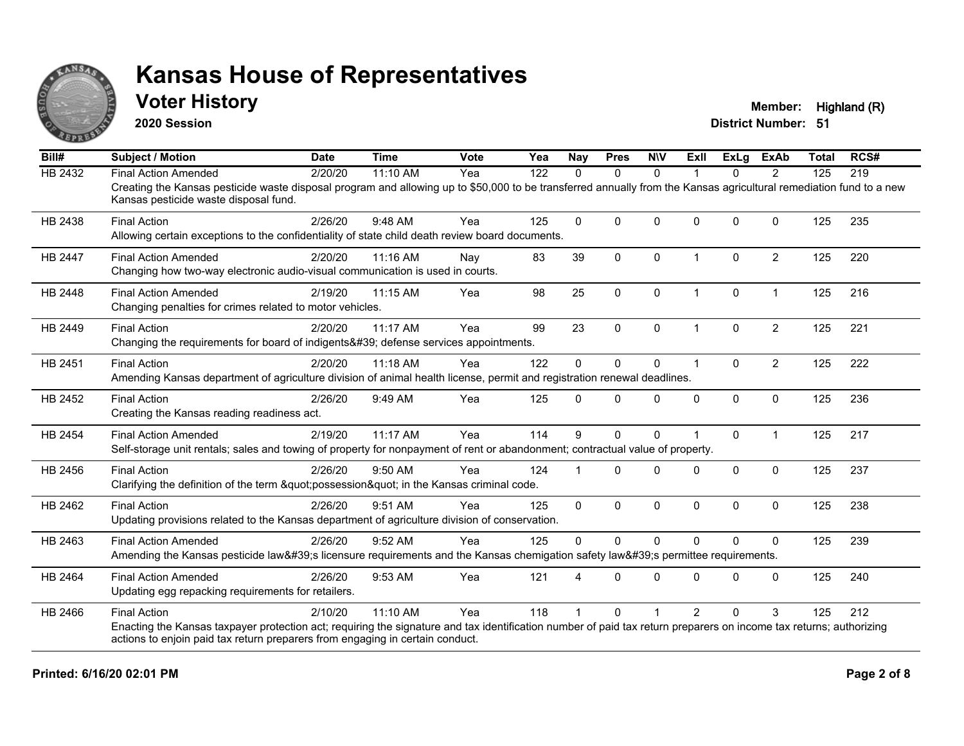

#### **Voter History Member:** Highland (R)

**2020 Session**

| Bill#          | <b>Subject / Motion</b>                                                                                                                                                                                     | <b>Date</b> | <b>Time</b> | <b>Vote</b> | Yea | <b>Nay</b>  | <b>Pres</b>  | <b>NIV</b>   | Exll           | ExLg         | <b>ExAb</b>    | <b>Total</b> | RCS# |
|----------------|-------------------------------------------------------------------------------------------------------------------------------------------------------------------------------------------------------------|-------------|-------------|-------------|-----|-------------|--------------|--------------|----------------|--------------|----------------|--------------|------|
| <b>HB 2432</b> | <b>Final Action Amended</b>                                                                                                                                                                                 | 2/20/20     | 11:10 AM    | Yea         | 122 | $\Omega$    | $\Omega$     | $\mathbf{0}$ |                | $\Omega$     | 2              | 125          | 219  |
|                | Creating the Kansas pesticide waste disposal program and allowing up to \$50,000 to be transferred annually from the Kansas agricultural remediation fund to a new<br>Kansas pesticide waste disposal fund. |             |             |             |     |             |              |              |                |              |                |              |      |
| HB 2438        | <b>Final Action</b>                                                                                                                                                                                         | 2/26/20     | 9:48 AM     | Yea         | 125 | $\Omega$    | $\mathbf 0$  | $\mathbf 0$  | $\Omega$       | $\mathbf{0}$ | $\mathbf 0$    | 125          | 235  |
|                | Allowing certain exceptions to the confidentiality of state child death review board documents.                                                                                                             |             |             |             |     |             |              |              |                |              |                |              |      |
| <b>HB 2447</b> | <b>Final Action Amended</b>                                                                                                                                                                                 | 2/20/20     | 11:16 AM    | Nay         | 83  | 39          | $\mathbf{0}$ | $\Omega$     | $\overline{1}$ | $\mathbf{0}$ | $\overline{2}$ | 125          | 220  |
|                | Changing how two-way electronic audio-visual communication is used in courts.                                                                                                                               |             |             |             |     |             |              |              |                |              |                |              |      |
| HB 2448        | <b>Final Action Amended</b>                                                                                                                                                                                 | 2/19/20     | 11:15 AM    | Yea         | 98  | 25          | 0            | $\mathbf 0$  | $\overline{1}$ | 0            | $\mathbf{1}$   | 125          | 216  |
|                | Changing penalties for crimes related to motor vehicles.                                                                                                                                                    |             |             |             |     |             |              |              |                |              |                |              |      |
| HB 2449        | <b>Final Action</b>                                                                                                                                                                                         | 2/20/20     | 11:17 AM    | Yea         | 99  | 23          | $\mathbf 0$  | $\mathbf 0$  |                | $\Omega$     | $\overline{2}$ | 125          | 221  |
|                | Changing the requirements for board of indigents' defense services appointments.                                                                                                                            |             |             |             |     |             |              |              |                |              |                |              |      |
| HB 2451        | <b>Final Action</b>                                                                                                                                                                                         | 2/20/20     | 11:18 AM    | Yea         | 122 | $\Omega$    | $\mathbf{0}$ | $\Omega$     | 1              | $\Omega$     | $\overline{2}$ | 125          | 222  |
|                | Amending Kansas department of agriculture division of animal health license, permit and registration renewal deadlines.                                                                                     |             |             |             |     |             |              |              |                |              |                |              |      |
| HB 2452        | <b>Final Action</b>                                                                                                                                                                                         | 2/26/20     | 9:49 AM     | Yea         | 125 | $\Omega$    | $\Omega$     | $\mathbf 0$  | $\Omega$       | 0            | $\mathbf 0$    | 125          | 236  |
|                | Creating the Kansas reading readiness act.                                                                                                                                                                  |             |             |             |     |             |              |              |                |              |                |              |      |
| HB 2454        | <b>Final Action Amended</b>                                                                                                                                                                                 | 2/19/20     | 11:17 AM    | Yea         | 114 | 9           | $\mathbf{0}$ | $\Omega$     |                | $\Omega$     | $\mathbf 1$    | 125          | 217  |
|                | Self-storage unit rentals; sales and towing of property for nonpayment of rent or abandonment; contractual value of property.                                                                               |             |             |             |     |             |              |              |                |              |                |              |      |
| HB 2456        | <b>Final Action</b>                                                                                                                                                                                         | 2/26/20     | 9:50 AM     | Yea         | 124 |             | $\mathbf{0}$ | $\Omega$     | $\Omega$       | $\Omega$     | $\mathbf 0$    | 125          | 237  |
|                | Clarifying the definition of the term "possession" in the Kansas criminal code.                                                                                                                             |             |             |             |     |             |              |              |                |              |                |              |      |
| HB 2462        | <b>Final Action</b>                                                                                                                                                                                         | 2/26/20     | 9:51 AM     | Yea         | 125 | $\mathbf 0$ | $\mathbf 0$  | $\mathbf 0$  | 0              | 0            | $\mathbf 0$    | 125          | 238  |
|                | Updating provisions related to the Kansas department of agriculture division of conservation.                                                                                                               |             |             |             |     |             |              |              |                |              |                |              |      |
| HB 2463        | <b>Final Action Amended</b>                                                                                                                                                                                 | 2/26/20     | 9:52 AM     | Yea         | 125 | $\Omega$    | $\Omega$     | $\Omega$     | $\Omega$       | $\Omega$     | $\Omega$       | 125          | 239  |
|                | Amending the Kansas pesticide law's licensure requirements and the Kansas chemigation safety law's permittee requirements.                                                                                  |             |             |             |     |             |              |              |                |              |                |              |      |
| HB 2464        | <b>Final Action Amended</b>                                                                                                                                                                                 | 2/26/20     | 9:53 AM     | Yea         | 121 |             | $\Omega$     | $\Omega$     | $\Omega$       | $\Omega$     | $\mathbf 0$    | 125          | 240  |
|                | Updating egg repacking requirements for retailers.                                                                                                                                                          |             |             |             |     |             |              |              |                |              |                |              |      |
| HB 2466        | <b>Final Action</b>                                                                                                                                                                                         | 2/10/20     | 11:10 AM    | Yea         | 118 |             | $\Omega$     |              | $\mathcal{P}$  | $\Omega$     | 3              | 125          | 212  |
|                | Enacting the Kansas taxpayer protection act; requiring the signature and tax identification number of paid tax return preparers on income tax returns; authorizing                                          |             |             |             |     |             |              |              |                |              |                |              |      |
|                | actions to enjoin paid tax return preparers from engaging in certain conduct.                                                                                                                               |             |             |             |     |             |              |              |                |              |                |              |      |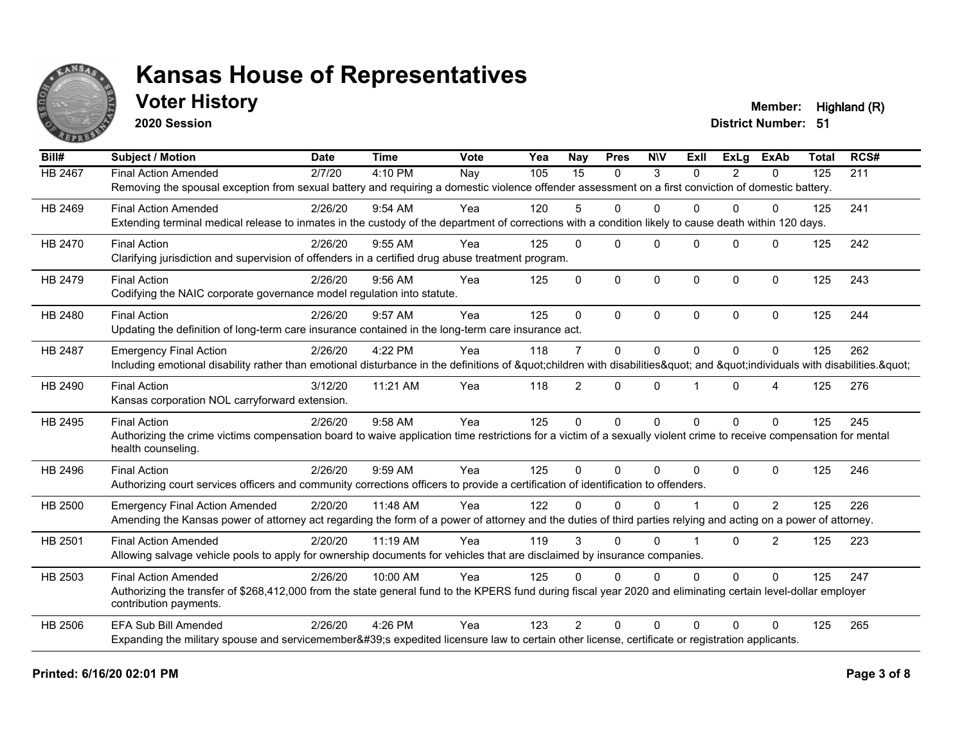

### **Voter History Member:** Highland (R)

**2020 Session**

| Bill#   | <b>Subject / Motion</b>                                                                                                                                             | <b>Date</b> | <b>Time</b> | Vote | Yea | Nay            | <b>Pres</b>  | <b>NIV</b>   | ExII           | ExLa           | <b>ExAb</b>    | <b>Total</b> | RCS# |
|---------|---------------------------------------------------------------------------------------------------------------------------------------------------------------------|-------------|-------------|------|-----|----------------|--------------|--------------|----------------|----------------|----------------|--------------|------|
| HB 2467 | <b>Final Action Amended</b>                                                                                                                                         | 2/7/20      | 4:10 PM     | Nay  | 105 | 15             | $\mathbf{0}$ | 3            | $\Omega$       | $\overline{2}$ | 0              | 125          | 211  |
|         | Removing the spousal exception from sexual battery and requiring a domestic violence offender assessment on a first conviction of domestic battery.                 |             |             |      |     |                |              |              |                |                |                |              |      |
| HB 2469 | <b>Final Action Amended</b>                                                                                                                                         | 2/26/20     | $9:54$ AM   | Yea  | 120 | 5              | $\Omega$     | $\mathbf{0}$ | 0              | 0              | 0              | 125          | 241  |
|         | Extending terminal medical release to inmates in the custody of the department of corrections with a condition likely to cause death within 120 days.               |             |             |      |     |                |              |              |                |                |                |              |      |
| HB 2470 | <b>Final Action</b>                                                                                                                                                 | 2/26/20     | 9:55 AM     | Yea  | 125 | $\Omega$       | $\Omega$     | $\Omega$     | $\Omega$       | $\Omega$       | $\Omega$       | 125          | 242  |
|         | Clarifying jurisdiction and supervision of offenders in a certified drug abuse treatment program.                                                                   |             |             |      |     |                |              |              |                |                |                |              |      |
| HB 2479 | <b>Final Action</b>                                                                                                                                                 | 2/26/20     | $9:56$ AM   | Yea  | 125 | $\Omega$       | $\Omega$     | $\mathbf 0$  | $\Omega$       | $\Omega$       | $\mathbf{0}$   | 125          | 243  |
|         | Codifying the NAIC corporate governance model regulation into statute.                                                                                              |             |             |      |     |                |              |              |                |                |                |              |      |
| HB 2480 | <b>Final Action</b>                                                                                                                                                 | 2/26/20     | 9:57 AM     | Yea  | 125 | $\Omega$       | $\Omega$     | $\Omega$     | $\Omega$       | $\Omega$       | $\Omega$       | 125          | 244  |
|         | Updating the definition of long-term care insurance contained in the long-term care insurance act.                                                                  |             |             |      |     |                |              |              |                |                |                |              |      |
| HB 2487 | <b>Emergency Final Action</b>                                                                                                                                       | 2/26/20     | 4:22 PM     | Yea  | 118 | $\overline{7}$ | $\Omega$     | $\mathbf{0}$ | $\Omega$       | $\Omega$       | $\Omega$       | 125          | 262  |
|         | Including emotional disability rather than emotional disturbance in the definitions of "children with disabilities" and "individuals with disabilities. "           |             |             |      |     |                |              |              |                |                |                |              |      |
| HB 2490 | <b>Final Action</b>                                                                                                                                                 | 3/12/20     | 11:21 AM    | Yea  | 118 | $\overline{2}$ | $\mathbf{0}$ | $\Omega$     |                | $\Omega$       | 4              | 125          | 276  |
|         | Kansas corporation NOL carryforward extension.                                                                                                                      |             |             |      |     |                |              |              |                |                |                |              |      |
| HB 2495 | <b>Final Action</b>                                                                                                                                                 | 2/26/20     | 9:58 AM     | Yea  | 125 | $\Omega$       | $\Omega$     | $\mathbf{0}$ | $\Omega$       | $\Omega$       | $\Omega$       | 125          | 245  |
|         | Authorizing the crime victims compensation board to waive application time restrictions for a victim of a sexually violent crime to receive compensation for mental |             |             |      |     |                |              |              |                |                |                |              |      |
|         | health counseling.                                                                                                                                                  |             |             |      |     |                |              |              |                |                |                |              |      |
| HB 2496 | <b>Final Action</b>                                                                                                                                                 | 2/26/20     | 9:59 AM     | Yea  | 125 | $\Omega$       | $\Omega$     | $\Omega$     | $\Omega$       | $\Omega$       | $\Omega$       | 125          | 246  |
|         | Authorizing court services officers and community corrections officers to provide a certification of identification to offenders.                                   |             |             |      |     |                |              |              |                |                |                |              |      |
| HB 2500 | <b>Emergency Final Action Amended</b>                                                                                                                               | 2/20/20     | 11:48 AM    | Yea  | 122 | <sup>0</sup>   | $\Omega$     | $\Omega$     |                | $\Omega$       | 2              | 125          | 226  |
|         | Amending the Kansas power of attorney act regarding the form of a power of attorney and the duties of third parties relying and acting on a power of attorney.      |             |             |      |     |                |              |              |                |                |                |              |      |
| HB 2501 | <b>Final Action Amended</b>                                                                                                                                         | 2/20/20     | 11:19 AM    | Yea  | 119 | 3              | $\Omega$     | $\Omega$     | $\overline{1}$ | $\Omega$       | $\overline{2}$ | 125          | 223  |
|         | Allowing salvage vehicle pools to apply for ownership documents for vehicles that are disclaimed by insurance companies.                                            |             |             |      |     |                |              |              |                |                |                |              |      |
| HB 2503 | <b>Final Action Amended</b>                                                                                                                                         | 2/26/20     | 10:00 AM    | Yea  | 125 | $\Omega$       | $\Omega$     | $\Omega$     | $\Omega$       | $\Omega$       | $\Omega$       | 125          | 247  |
|         | Authorizing the transfer of \$268,412,000 from the state general fund to the KPERS fund during fiscal year 2020 and eliminating certain level-dollar employer       |             |             |      |     |                |              |              |                |                |                |              |      |
|         | contribution payments.                                                                                                                                              |             |             |      |     |                |              |              |                |                |                |              |      |
| HB 2506 | <b>EFA Sub Bill Amended</b>                                                                                                                                         | 2/26/20     | 4:26 PM     | Yea  | 123 | $\mathcal{P}$  | $\Omega$     | $\Omega$     | 0              | 0              | $\Omega$       | 125          | 265  |
|         | Expanding the military spouse and servicemember's expedited licensure law to certain other license, certificate or registration applicants.                         |             |             |      |     |                |              |              |                |                |                |              |      |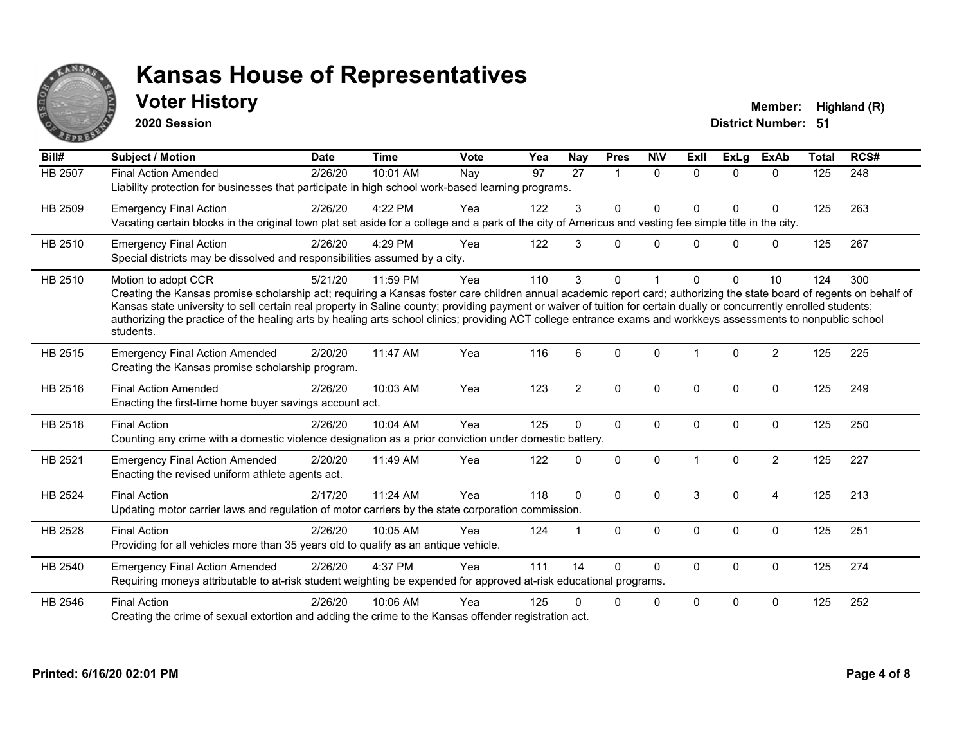

### **Voter History Member:** Highland (R)

**2020 Session**

| Bill#          | <b>Subject / Motion</b>                                                                                                                                                                                                                                                                                                                                                                                                                                                                                                                             | <b>Date</b> | <b>Time</b> | <b>Vote</b> | Yea | <b>Nay</b>     | <b>Pres</b>          | <b>NIV</b>  | <b>ExII</b> | ExLg        | <b>ExAb</b>    | <b>Total</b> | RCS# |
|----------------|-----------------------------------------------------------------------------------------------------------------------------------------------------------------------------------------------------------------------------------------------------------------------------------------------------------------------------------------------------------------------------------------------------------------------------------------------------------------------------------------------------------------------------------------------------|-------------|-------------|-------------|-----|----------------|----------------------|-------------|-------------|-------------|----------------|--------------|------|
| <b>HB 2507</b> | <b>Final Action Amended</b><br>Liability protection for businesses that participate in high school work-based learning programs.                                                                                                                                                                                                                                                                                                                                                                                                                    | 2/26/20     | 10:01 AM    | Nay         | 97  | 27             | $\blacktriangleleft$ | $\Omega$    | $\Omega$    | $\Omega$    | $\Omega$       | 125          | 248  |
| HB 2509        | <b>Emergency Final Action</b><br>Vacating certain blocks in the original town plat set aside for a college and a park of the city of Americus and vesting fee simple title in the city.                                                                                                                                                                                                                                                                                                                                                             | 2/26/20     | 4:22 PM     | Yea         | 122 | 3              | $\mathbf 0$          | $\mathbf 0$ | $\Omega$    | $\Omega$    | $\mathbf 0$    | 125          | 263  |
| HB 2510        | <b>Emergency Final Action</b><br>Special districts may be dissolved and responsibilities assumed by a city.                                                                                                                                                                                                                                                                                                                                                                                                                                         | 2/26/20     | 4:29 PM     | Yea         | 122 | 3              | $\Omega$             | $\Omega$    | U           | $\Omega$    | $\mathbf 0$    | 125          | 267  |
| HB 2510        | Motion to adopt CCR<br>Creating the Kansas promise scholarship act; requiring a Kansas foster care children annual academic report card; authorizing the state board of regents on behalf of<br>Kansas state university to sell certain real property in Saline county; providing payment or waiver of tuition for certain dually or concurrently enrolled students;<br>authorizing the practice of the healing arts by healing arts school clinics; providing ACT college entrance exams and workkeys assessments to nonpublic school<br>students. | 5/21/20     | 11:59 PM    | Yea         | 110 | 3              | $\mathbf{0}$         |             | 0           | $\Omega$    | 10             | 124          | 300  |
| HB 2515        | <b>Emergency Final Action Amended</b><br>Creating the Kansas promise scholarship program.                                                                                                                                                                                                                                                                                                                                                                                                                                                           | 2/20/20     | 11:47 AM    | Yea         | 116 | 6              | $\Omega$             | $\Omega$    | 1           | $\Omega$    | 2              | 125          | 225  |
| HB 2516        | <b>Final Action Amended</b><br>Enacting the first-time home buyer savings account act.                                                                                                                                                                                                                                                                                                                                                                                                                                                              | 2/26/20     | 10:03 AM    | Yea         | 123 | $\overline{2}$ | $\mathbf 0$          | $\mathbf 0$ | $\Omega$    | $\Omega$    | $\mathbf 0$    | 125          | 249  |
| HB 2518        | <b>Final Action</b><br>Counting any crime with a domestic violence designation as a prior conviction under domestic battery.                                                                                                                                                                                                                                                                                                                                                                                                                        | 2/26/20     | 10:04 AM    | Yea         | 125 | $\Omega$       | $\mathbf 0$          | $\Omega$    | $\Omega$    | $\Omega$    | $\mathbf 0$    | 125          | 250  |
| HB 2521        | <b>Emergency Final Action Amended</b><br>Enacting the revised uniform athlete agents act.                                                                                                                                                                                                                                                                                                                                                                                                                                                           | 2/20/20     | 11:49 AM    | Yea         | 122 | <sup>0</sup>   | $\mathbf 0$          | $\Omega$    |             | $\Omega$    | $\overline{2}$ | 125          | 227  |
| HB 2524        | <b>Final Action</b><br>Updating motor carrier laws and regulation of motor carriers by the state corporation commission.                                                                                                                                                                                                                                                                                                                                                                                                                            | 2/17/20     | 11:24 AM    | Yea         | 118 | $\Omega$       | $\mathbf{0}$         | $\Omega$    | 3           | $\Omega$    | $\overline{4}$ | 125          | 213  |
| HB 2528        | <b>Final Action</b><br>Providing for all vehicles more than 35 years old to qualify as an antique vehicle.                                                                                                                                                                                                                                                                                                                                                                                                                                          | 2/26/20     | 10:05 AM    | Yea         | 124 |                | $\mathbf{0}$         | $\Omega$    | $\Omega$    | $\Omega$    | $\mathbf{0}$   | 125          | 251  |
| HB 2540        | <b>Emergency Final Action Amended</b><br>Requiring moneys attributable to at-risk student weighting be expended for approved at-risk educational programs.                                                                                                                                                                                                                                                                                                                                                                                          | 2/26/20     | 4:37 PM     | Yea         | 111 | 14             | $\mathbf{0}$         | $\Omega$    | 0           | $\mathbf 0$ | $\mathbf 0$    | 125          | 274  |
| HB 2546        | <b>Final Action</b><br>Creating the crime of sexual extortion and adding the crime to the Kansas offender registration act.                                                                                                                                                                                                                                                                                                                                                                                                                         | 2/26/20     | 10:06 AM    | Yea         | 125 |                | 0                    | $\mathbf 0$ | $\Omega$    | $\Omega$    | 0              | 125          | 252  |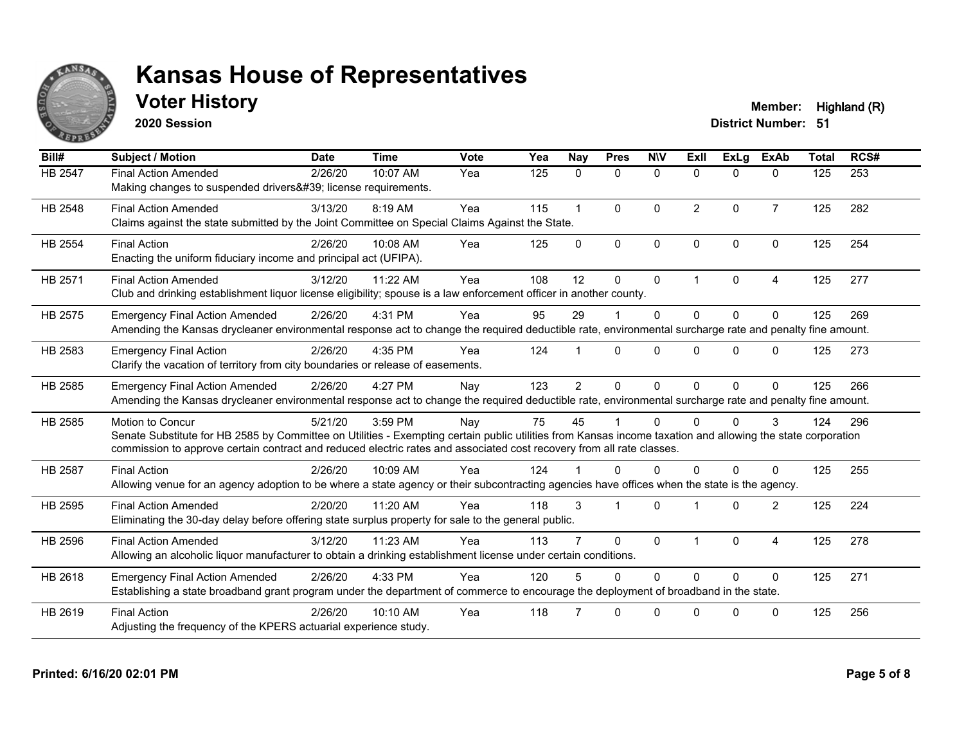

### **Voter History Member:** Highland (R)

**2020 Session**

| Bill#          | <b>Subject / Motion</b>                                                                                                                                                                                                                                                                                         | <b>Date</b> | <b>Time</b> | Vote | Yea | <b>Nay</b>     | <b>Pres</b>    | <b>NIV</b>   | ExII           | <b>ExLa</b> | <b>ExAb</b>    | <b>Total</b> | RCS# |
|----------------|-----------------------------------------------------------------------------------------------------------------------------------------------------------------------------------------------------------------------------------------------------------------------------------------------------------------|-------------|-------------|------|-----|----------------|----------------|--------------|----------------|-------------|----------------|--------------|------|
| HB 2547        | <b>Final Action Amended</b><br>Making changes to suspended drivers' license requirements.                                                                                                                                                                                                                       | 2/26/20     | 10:07 AM    | Yea  | 125 | $\mathbf{0}$   | 0              | $\mathbf 0$  | $\Omega$       | $\Omega$    | $\mathbf{0}$   | 125          | 253  |
| HB 2548        | <b>Final Action Amended</b><br>Claims against the state submitted by the Joint Committee on Special Claims Against the State.                                                                                                                                                                                   | 3/13/20     | 8:19 AM     | Yea  | 115 |                | $\Omega$       | $\Omega$     | $\overline{2}$ | $\Omega$    | $\overline{7}$ | 125          | 282  |
| <b>HB 2554</b> | <b>Final Action</b><br>Enacting the uniform fiduciary income and principal act (UFIPA).                                                                                                                                                                                                                         | 2/26/20     | 10:08 AM    | Yea  | 125 | $\Omega$       | $\mathbf{0}$   | $\mathbf{0}$ | $\Omega$       | $\Omega$    | $\mathbf{0}$   | 125          | 254  |
| HB 2571        | <b>Final Action Amended</b><br>Club and drinking establishment liquor license eligibility; spouse is a law enforcement officer in another county.                                                                                                                                                               | 3/12/20     | 11:22 AM    | Yea  | 108 | 12             | $\Omega$       | $\mathbf{0}$ | $\overline{1}$ | $\Omega$    | 4              | 125          | 277  |
| HB 2575        | <b>Emergency Final Action Amended</b><br>Amending the Kansas drycleaner environmental response act to change the required deductible rate, environmental surcharge rate and penalty fine amount.                                                                                                                | 2/26/20     | 4:31 PM     | Yea  | 95  | 29             |                | $\mathbf{0}$ | $\Omega$       | $\Omega$    | $\Omega$       | 125          | 269  |
| HB 2583        | <b>Emergency Final Action</b><br>Clarify the vacation of territory from city boundaries or release of easements.                                                                                                                                                                                                | 2/26/20     | 4:35 PM     | Yea  | 124 |                | $\Omega$       | $\Omega$     | <sup>n</sup>   | $\Omega$    | 0              | 125          | 273  |
| HB 2585        | <b>Emergency Final Action Amended</b><br>Amending the Kansas drycleaner environmental response act to change the required deductible rate, environmental surcharge rate and penalty fine amount.                                                                                                                | 2/26/20     | 4:27 PM     | Nay  | 123 | $\overline{2}$ | $\mathbf{0}$   | $\Omega$     | $\Omega$       | $\Omega$    | $\Omega$       | 125          | 266  |
| HB 2585        | <b>Motion to Concur</b><br>Senate Substitute for HB 2585 by Committee on Utilities - Exempting certain public utilities from Kansas income taxation and allowing the state corporation<br>commission to approve certain contract and reduced electric rates and associated cost recovery from all rate classes. | 5/21/20     | 3:59 PM     | Nay  | 75  | 45             |                | $\Omega$     | 0              | 0           | 3              | 124          | 296  |
| <b>HB 2587</b> | <b>Final Action</b><br>Allowing venue for an agency adoption to be where a state agency or their subcontracting agencies have offices when the state is the agency.                                                                                                                                             | 2/26/20     | 10:09 AM    | Yea  | 124 |                | 0              | $\Omega$     | 0              | 0           | 0              | 125          | 255  |
| HB 2595        | <b>Final Action Amended</b><br>Eliminating the 30-day delay before offering state surplus property for sale to the general public.                                                                                                                                                                              | 2/20/20     | 11:20 AM    | Yea  | 118 | 3              | $\overline{1}$ | $\Omega$     | -1             | $\Omega$    | $\overline{2}$ | 125          | 224  |
| HB 2596        | <b>Final Action Amended</b><br>Allowing an alcoholic liquor manufacturer to obtain a drinking establishment license under certain conditions.                                                                                                                                                                   | 3/12/20     | 11:23 AM    | Yea  | 113 |                | $\Omega$       | $\mathbf{0}$ | $\overline{1}$ | $\Omega$    | 4              | 125          | 278  |
| HB 2618        | <b>Emergency Final Action Amended</b><br>Establishing a state broadband grant program under the department of commerce to encourage the deployment of broadband in the state.                                                                                                                                   | 2/26/20     | 4:33 PM     | Yea  | 120 |                | $\Omega$       | $\Omega$     | $\Omega$       | $\Omega$    | $\Omega$       | 125          | 271  |
| HB 2619        | <b>Final Action</b><br>Adjusting the frequency of the KPERS actuarial experience study.                                                                                                                                                                                                                         | 2/26/20     | 10:10 AM    | Yea  | 118 |                | $\Omega$       | $\Omega$     | <sup>n</sup>   | O           | $\Omega$       | 125          | 256  |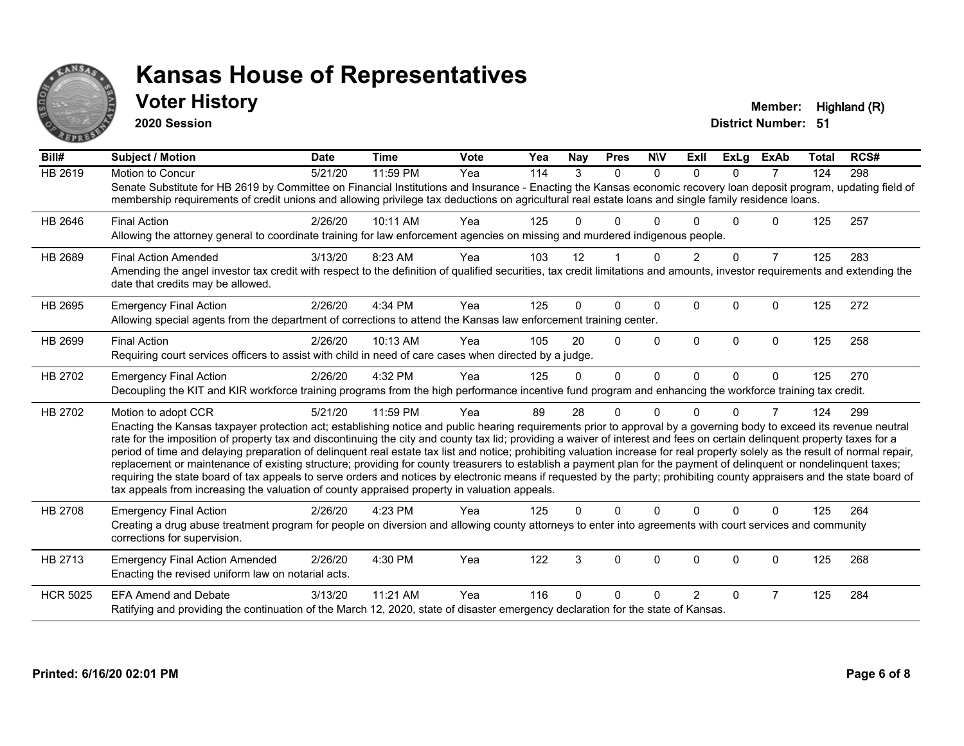

#### **Voter History Member:** Highland (R)

**2020 Session**

| Bill#           | Subject / Motion                                                                                                                                                                                                                                                                                                                                                                                                                                                                                                                                                                                                                                                                                                                                                                                                                                                                                                                                                                                              | <b>Date</b> | <b>Time</b> | <b>Vote</b> | Yea | Nav | <b>Pres</b> | <b>NIV</b> | ExII           | <b>ExLg</b> | <b>ExAb</b>    | <b>Total</b> | RCS# |
|-----------------|---------------------------------------------------------------------------------------------------------------------------------------------------------------------------------------------------------------------------------------------------------------------------------------------------------------------------------------------------------------------------------------------------------------------------------------------------------------------------------------------------------------------------------------------------------------------------------------------------------------------------------------------------------------------------------------------------------------------------------------------------------------------------------------------------------------------------------------------------------------------------------------------------------------------------------------------------------------------------------------------------------------|-------------|-------------|-------------|-----|-----|-------------|------------|----------------|-------------|----------------|--------------|------|
| <b>HB 2619</b>  | Motion to Concur<br>Senate Substitute for HB 2619 by Committee on Financial Institutions and Insurance - Enacting the Kansas economic recovery loan deposit program, updating field of<br>membership requirements of credit unions and allowing privilege tax deductions on agricultural real estate loans and single family residence loans.                                                                                                                                                                                                                                                                                                                                                                                                                                                                                                                                                                                                                                                                 | 5/21/20     | 11:59 PM    | Yea         | 114 | 3   | $\Omega$    | $\Omega$   | $\Omega$       | $\Omega$    | $\overline{7}$ | 124          | 298  |
| HB 2646         | <b>Final Action</b><br>Allowing the attorney general to coordinate training for law enforcement agencies on missing and murdered indigenous people.                                                                                                                                                                                                                                                                                                                                                                                                                                                                                                                                                                                                                                                                                                                                                                                                                                                           | 2/26/20     | 10:11 AM    | Yea         | 125 | 0   | 0           |            |                | U           | 0              | 125          | 257  |
| HB 2689         | <b>Final Action Amended</b><br>Amending the angel investor tax credit with respect to the definition of qualified securities, tax credit limitations and amounts, investor requirements and extending the<br>date that credits may be allowed.                                                                                                                                                                                                                                                                                                                                                                                                                                                                                                                                                                                                                                                                                                                                                                | 3/13/20     | 8:23 AM     | Yea         | 103 | 12  |             | $\Omega$   | $\overline{2}$ | $\Omega$    | $\overline{7}$ | 125          | 283  |
| HB 2695         | <b>Emergency Final Action</b><br>Allowing special agents from the department of corrections to attend the Kansas law enforcement training center.                                                                                                                                                                                                                                                                                                                                                                                                                                                                                                                                                                                                                                                                                                                                                                                                                                                             | 2/26/20     | 4:34 PM     | Yea         | 125 | 0   | $\Omega$    | $\Omega$   | $\Omega$       | $\Omega$    | $\Omega$       | 125          | 272  |
| HB 2699         | <b>Final Action</b><br>Requiring court services officers to assist with child in need of care cases when directed by a judge.                                                                                                                                                                                                                                                                                                                                                                                                                                                                                                                                                                                                                                                                                                                                                                                                                                                                                 | 2/26/20     | 10:13 AM    | Yea         | 105 | 20  | $\Omega$    | $\Omega$   | $\Omega$       | $\Omega$    | $\Omega$       | 125          | 258  |
| HB 2702         | <b>Emergency Final Action</b><br>Decoupling the KIT and KIR workforce training programs from the high performance incentive fund program and enhancing the workforce training tax credit.                                                                                                                                                                                                                                                                                                                                                                                                                                                                                                                                                                                                                                                                                                                                                                                                                     | 2/26/20     | 4:32 PM     | Yea         | 125 | 0   | $\Omega$    | $\Omega$   | $\Omega$       | $\Omega$    | $\Omega$       | 125          | 270  |
| HB 2702         | Motion to adopt CCR<br>Enacting the Kansas taxpayer protection act; establishing notice and public hearing requirements prior to approval by a governing body to exceed its revenue neutral<br>rate for the imposition of property tax and discontinuing the city and county tax lid; providing a waiver of interest and fees on certain delinquent property taxes for a<br>period of time and delaying preparation of delinquent real estate tax list and notice; prohibiting valuation increase for real property solely as the result of normal repair,<br>replacement or maintenance of existing structure; providing for county treasurers to establish a payment plan for the payment of delinquent or nondelinquent taxes;<br>requiring the state board of tax appeals to serve orders and notices by electronic means if requested by the party; prohibiting county appraisers and the state board of<br>tax appeals from increasing the valuation of county appraised property in valuation appeals. | 5/21/20     | 11:59 PM    | Yea         | 89  | 28  | 0           | $\Omega$   | U              | 0           | $\overline{7}$ | 124          | 299  |
| HB 2708         | <b>Emergency Final Action</b><br>Creating a drug abuse treatment program for people on diversion and allowing county attorneys to enter into agreements with court services and community<br>corrections for supervision.                                                                                                                                                                                                                                                                                                                                                                                                                                                                                                                                                                                                                                                                                                                                                                                     | 2/26/20     | 4:23 PM     | Yea         | 125 | 0   | $\Omega$    | $\Omega$   | $\Omega$       | $\Omega$    | $\Omega$       | 125          | 264  |
| HB 2713         | <b>Emergency Final Action Amended</b><br>Enacting the revised uniform law on notarial acts.                                                                                                                                                                                                                                                                                                                                                                                                                                                                                                                                                                                                                                                                                                                                                                                                                                                                                                                   | 2/26/20     | 4:30 PM     | Yea         | 122 | 3   | 0           | $\Omega$   | 0              | 0           | 0              | 125          | 268  |
| <b>HCR 5025</b> | <b>EFA Amend and Debate</b><br>Ratifying and providing the continuation of the March 12, 2020, state of disaster emergency declaration for the state of Kansas.                                                                                                                                                                                                                                                                                                                                                                                                                                                                                                                                                                                                                                                                                                                                                                                                                                               | 3/13/20     | 11:21 AM    | Yea         | 116 | 0   | 0           | $\Omega$   | $\mathcal{P}$  | $\Omega$    | $\overline{7}$ | 125          | 284  |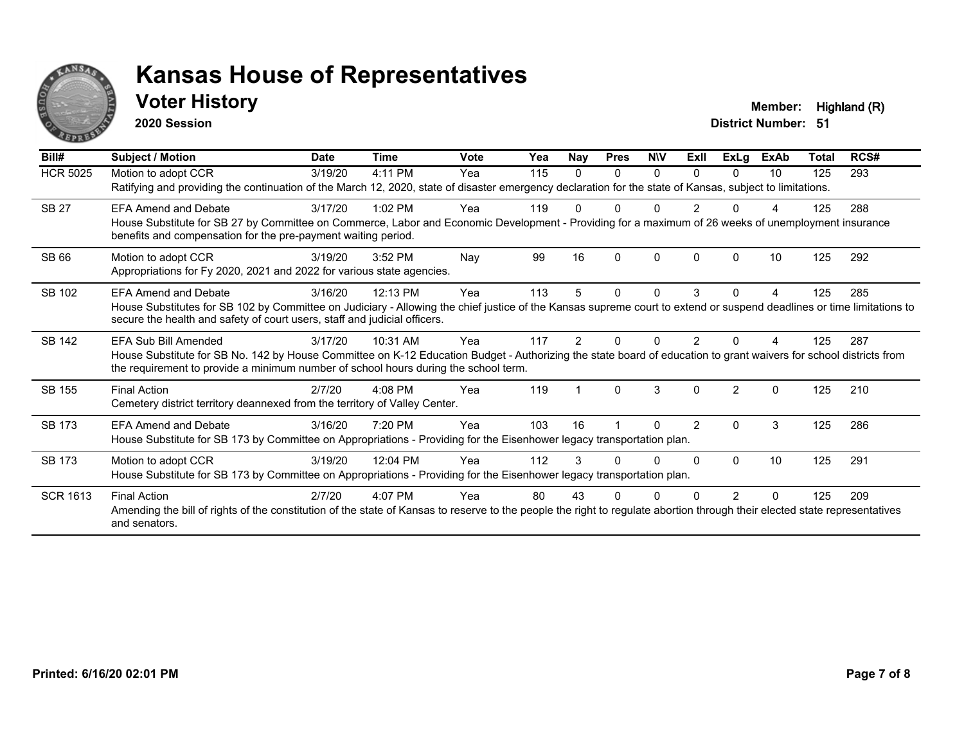

#### **Voter History Member:** Highland (R)

**2020 Session**

| Bill#           | Subject / Motion                                                                                                                                                                                                                                                                  | <b>Date</b> | Time      | <b>Vote</b> | Yea | Nay | <b>Pres</b>  | <b>NIV</b> | ExII           | <b>ExLg</b>    | <b>ExAb</b> | Total | RCS# |
|-----------------|-----------------------------------------------------------------------------------------------------------------------------------------------------------------------------------------------------------------------------------------------------------------------------------|-------------|-----------|-------------|-----|-----|--------------|------------|----------------|----------------|-------------|-------|------|
| <b>HCR 5025</b> | Motion to adopt CCR<br>Ratifying and providing the continuation of the March 12, 2020, state of disaster emergency declaration for the state of Kansas, subject to limitations.                                                                                                   | 3/19/20     | 4:11 PM   | Yea         | 115 | 0   | $\Omega$     | $\Omega$   | $\Omega$       | $\Omega$       | 10          | 125   | 293  |
| <b>SB 27</b>    | <b>EFA Amend and Debate</b><br>House Substitute for SB 27 by Committee on Commerce, Labor and Economic Development - Providing for a maximum of 26 weeks of unemployment insurance<br>benefits and compensation for the pre-payment waiting period.                               | 3/17/20     | $1:02$ PM | Yea         | 119 |     |              |            |                |                |             | 125   | 288  |
| <b>SB 66</b>    | Motion to adopt CCR<br>Appropriations for Fy 2020, 2021 and 2022 for various state agencies.                                                                                                                                                                                      | 3/19/20     | 3:52 PM   | Nay         | 99  | 16  | <sup>0</sup> | $\Omega$   | <sup>0</sup>   | O              | 10          | 125   | 292  |
| SB 102          | <b>EFA Amend and Debate</b><br>House Substitutes for SB 102 by Committee on Judiciary - Allowing the chief justice of the Kansas supreme court to extend or suspend deadlines or time limitations to<br>secure the health and safety of court users, staff and judicial officers. | 3/16/20     | 12:13 PM  | Yea         | 113 |     | 0            | 0          | 3              | 0              |             | 125   | 285  |
| <b>SB 142</b>   | EFA Sub Bill Amended<br>House Substitute for SB No. 142 by House Committee on K-12 Education Budget - Authorizing the state board of education to grant waivers for school districts from<br>the requirement to provide a minimum number of school hours during the school term.  | 3/17/20     | 10:31 AM  | Yea         | 117 |     |              |            |                |                |             | 125   | 287  |
| SB 155          | <b>Final Action</b><br>Cemetery district territory deannexed from the territory of Valley Center.                                                                                                                                                                                 | 2/7/20      | $4:08$ PM | Yea         | 119 |     | $\Omega$     | 3          | $\Omega$       | $\mathfrak{p}$ | $\Omega$    | 125   | 210  |
| <b>SB 173</b>   | <b>EFA Amend and Debate</b><br>House Substitute for SB 173 by Committee on Appropriations - Providing for the Eisenhower legacy transportation plan.                                                                                                                              | 3/16/20     | 7:20 PM   | Yea         | 103 | 16  |              | n          | $\overline{2}$ | 0              | 3           | 125   | 286  |
| <b>SB 173</b>   | Motion to adopt CCR<br>House Substitute for SB 173 by Committee on Appropriations - Providing for the Eisenhower legacy transportation plan.                                                                                                                                      | 3/19/20     | 12:04 PM  | Yea         | 112 |     |              | U          | $\Omega$       | 0              | 10          | 125   | 291  |
| <b>SCR 1613</b> | <b>Final Action</b><br>Amending the bill of rights of the constitution of the state of Kansas to reserve to the people the right to regulate abortion through their elected state representatives<br>and senators.                                                                | 2/7/20      | 4:07 PM   | Yea         | 80  | 43  |              |            |                |                | $\Omega$    | 125   | 209  |